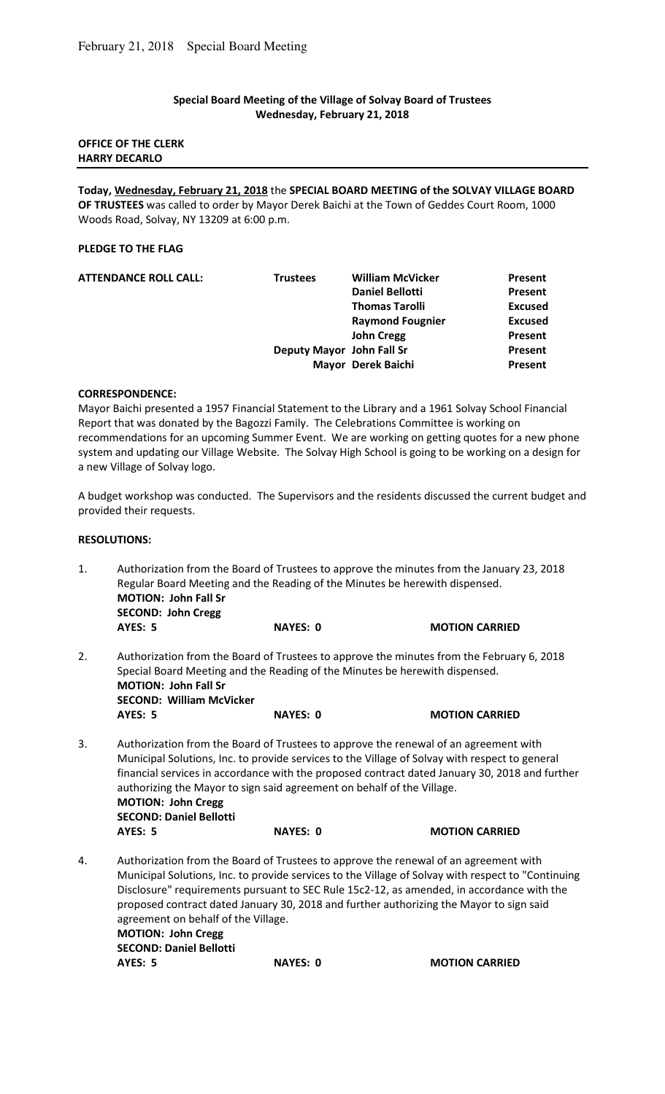## **Special Board Meeting of the Village of Solvay Board of Trustees Wednesday, February 21, 2018**

### **OFFICE OF THE CLERK HARRY DECARLO**

**Today, Wednesday, February 21, 2018** the **SPECIAL BOARD MEETING of the SOLVAY VILLAGE BOARD OF TRUSTEES** was called to order by Mayor Derek Baichi at the Town of Geddes Court Room, 1000 Woods Road, Solvay, NY 13209 at 6:00 p.m.

## **PLEDGE TO THE FLAG**

| <b>William McVicker</b> | Present                                      |
|-------------------------|----------------------------------------------|
| <b>Daniel Bellotti</b>  | Present                                      |
| <b>Thomas Tarolli</b>   | <b>Excused</b>                               |
| <b>Raymond Fougnier</b> | <b>Excused</b>                               |
| <b>John Cregg</b>       | Present                                      |
|                         | Present                                      |
| Mayor Derek Baichi      | Present                                      |
|                         | <b>Trustees</b><br>Deputy Mayor John Fall Sr |

#### **CORRESPONDENCE:**

Mayor Baichi presented a 1957 Financial Statement to the Library and a 1961 Solvay School Financial Report that was donated by the Bagozzi Family. The Celebrations Committee is working on recommendations for an upcoming Summer Event. We are working on getting quotes for a new phone system and updating our Village Website. The Solvay High School is going to be working on a design for a new Village of Solvay logo.

A budget workshop was conducted. The Supervisors and the residents discussed the current budget and provided their requests.

#### **RESOLUTIONS:**

| 1.                                                                                                                                                                                                                                               | Authorization from the Board of Trustees to approve the minutes from the January 23, 2018<br>Regular Board Meeting and the Reading of the Minutes be herewith dispensed.<br><b>MOTION: John Fall Sr</b><br><b>SECOND: John Cregg</b>                                                                                                                                                                                                                                                     |                 |                       |
|--------------------------------------------------------------------------------------------------------------------------------------------------------------------------------------------------------------------------------------------------|------------------------------------------------------------------------------------------------------------------------------------------------------------------------------------------------------------------------------------------------------------------------------------------------------------------------------------------------------------------------------------------------------------------------------------------------------------------------------------------|-----------------|-----------------------|
|                                                                                                                                                                                                                                                  | AYES: 5                                                                                                                                                                                                                                                                                                                                                                                                                                                                                  | <b>NAYES: 0</b> | <b>MOTION CARRIED</b> |
| 2.<br>Authorization from the Board of Trustees to approve the minutes from the February 6, 2018<br>Special Board Meeting and the Reading of the Minutes be herewith dispensed.<br><b>MOTION: John Fall Sr</b><br><b>SECOND: William McVicker</b> |                                                                                                                                                                                                                                                                                                                                                                                                                                                                                          |                 |                       |
|                                                                                                                                                                                                                                                  | <b>AYES: 5</b>                                                                                                                                                                                                                                                                                                                                                                                                                                                                           | <b>NAYES: 0</b> | <b>MOTION CARRIED</b> |
| 3.                                                                                                                                                                                                                                               | Authorization from the Board of Trustees to approve the renewal of an agreement with<br>Municipal Solutions, Inc. to provide services to the Village of Solvay with respect to general<br>financial services in accordance with the proposed contract dated January 30, 2018 and further<br>authorizing the Mayor to sign said agreement on behalf of the Village.<br><b>MOTION: John Cregg</b><br><b>SECOND: Daniel Bellotti</b>                                                        |                 |                       |
|                                                                                                                                                                                                                                                  | AYES: 5                                                                                                                                                                                                                                                                                                                                                                                                                                                                                  | <b>NAYES: 0</b> | <b>MOTION CARRIED</b> |
| 4.                                                                                                                                                                                                                                               | Authorization from the Board of Trustees to approve the renewal of an agreement with<br>Municipal Solutions, Inc. to provide services to the Village of Solvay with respect to "Continuing<br>Disclosure" requirements pursuant to SEC Rule 15c2-12, as amended, in accordance with the<br>proposed contract dated January 30, 2018 and further authorizing the Mayor to sign said<br>agreement on behalf of the Village.<br><b>MOTION: John Cregg</b><br><b>SECOND: Daniel Bellotti</b> |                 |                       |
|                                                                                                                                                                                                                                                  | AYES: 5                                                                                                                                                                                                                                                                                                                                                                                                                                                                                  | <b>NAYES: 0</b> | <b>MOTION CARRIED</b> |
|                                                                                                                                                                                                                                                  |                                                                                                                                                                                                                                                                                                                                                                                                                                                                                          |                 |                       |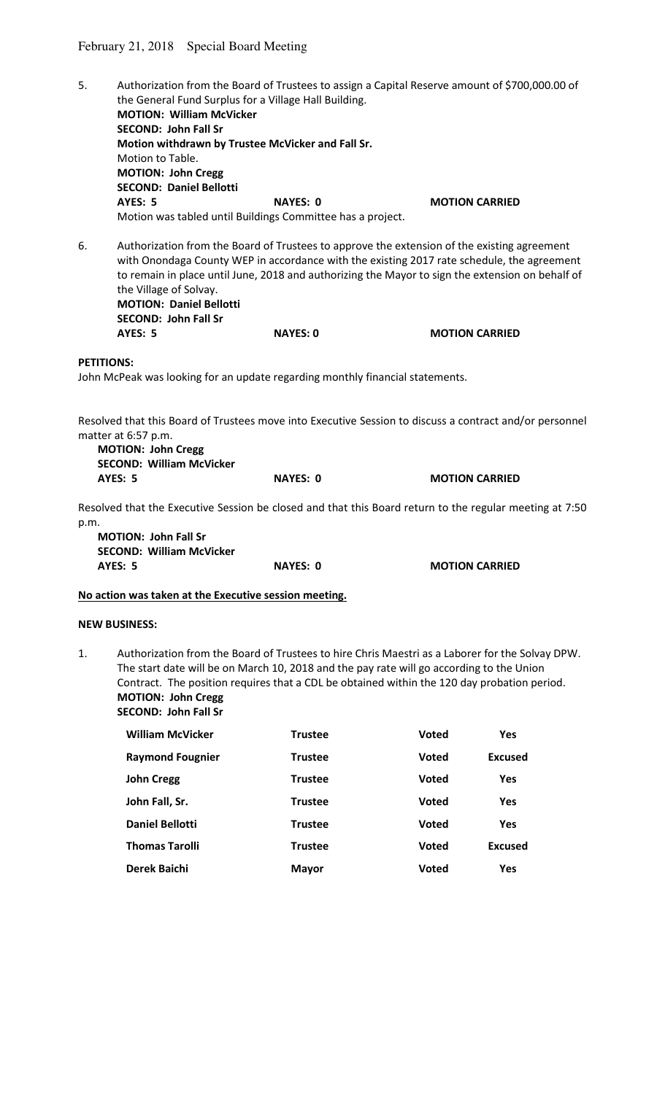- 5. Authorization from the Board of Trustees to assign a Capital Reserve amount of \$700,000.00 of the General Fund Surplus for a Village Hall Building. **MOTION: William McVicker SECOND: John Fall Sr Motion withdrawn by Trustee McVicker and Fall Sr.**  Motion to Table.  **MOTION: John Cregg SECOND: Daniel Bellotti AYES: 5** NAYES: 0 MOTION CARRIED Motion was tabled until Buildings Committee has a project. 6. Authorization from the Board of Trustees to approve the extension of the existing agreement with Onondaga County WEP in accordance with the existing 2017 rate schedule, the agreement to remain in place until June, 2018 and authorizing the Mayor to sign the extension on behalf of the Village of Solvay. **MOTION: Daniel Bellotti SECOND: John Fall Sr AYES: 5 NAYES: 0 MOTION CARRIED PETITIONS:**  John McPeak was looking for an update regarding monthly financial statements. Resolved that this Board of Trustees move into Executive Session to discuss a contract and/or personnel matter at 6:57 p.m. **MOTION: John Cregg SECOND: William McVicker AYES: 5 NAYES: 0 MOTION CARRIED**  Resolved that the Executive Session be closed and that this Board return to the regular meeting at 7:50 p.m. **MOTION: John Fall Sr SECOND: William McVicker**  AYES: 5 NAYES: 0 **NAYES: 0** MOTION CARRIED **No action was taken at the Executive session meeting. NEW BUSINESS:**  1. Authorization from the Board of Trustees to hire Chris Maestri as a Laborer for the Solvay DPW. The start date will be on March 10, 2018 and the pay rate will go according to the Union Contract. The position requires that a CDL be obtained within the 120 day probation period. **MOTION: John Cregg SECOND: John Fall Sr William McVicker Trustee Voted Yes Raymond Fougnier Trustee Voted Excused John Cregg Trustee Voted Yes John Fall, Sr. Trustee Voted Yes Daniel Bellotti Trustee Voted Yes**
	- **Thomas Tarolli Trustee Voted Excused Derek Baichi Mayor Voted Yes**